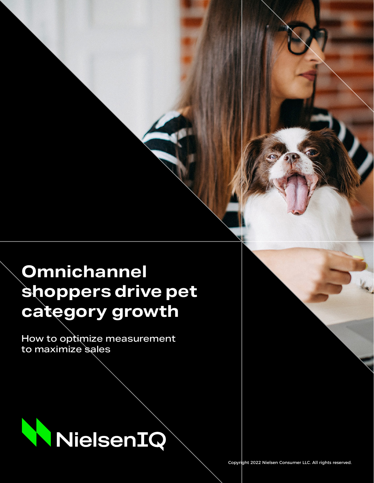# **Omnichannel shoppers drive pet category growth**

How to optimize measurement to maximize sales



**CENT**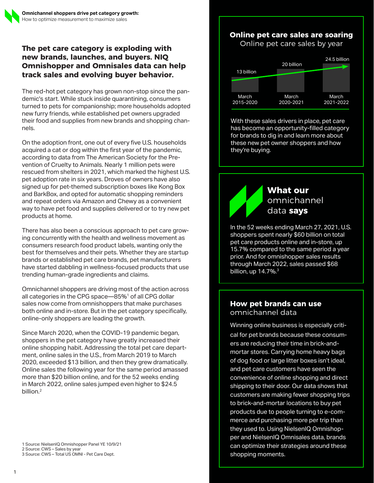### **The pet care category is exploding with new brands, launches, and buyers. NIQ Omnishopper and Omnisales data can help track sales and evolving buyer behavior.**

The red-hot pet category has grown non-stop since the pandemic's start. While stuck inside quarantining, consumers turned to pets for companionship; more households adopted new furry friends, while established pet owners upgraded their food and supplies from new brands and shopping channels.

On the adoption front, one out of every five U.S. households acquired a cat or dog within the first year of the pandemic, according to data from The American Society for the Prevention of Cruelty to Animals. Nearly 1 million pets were rescued from shelters in 2021, which marked the highest U.S. pet adoption rate in six years. Droves of owners have also signed up for pet-themed subscription boxes like Kong Box and BarkBox, and opted for automatic shopping reminders and repeat orders via Amazon and Chewy as a convenient way to have pet food and supplies delivered or to try new pet products at home.

There has also been a conscious approach to pet care growing concurrently with the health and wellness movement as consumers research food product labels, wanting only the best for themselves and their pets. Whether they are startup brands or established pet care brands, pet manufacturers have started dabbling in wellness-focused products that use trending human-grade ingredients and claims.

Omnichannel shoppers are driving most of the action across all categories in the CPG space—85%<sup>1</sup> of all CPG dollar sales now come from omnishoppers that make purchases both online and in-store. But in the pet category specifically, online-only shoppers are leading the growth.

Since March 2020, when the COVID-19 pandemic began, shoppers in the pet category have greatly increased their online shopping habit. Addressing the total pet care department, online sales in the U.S., from March 2019 to March 2020, exceeded \$13 billion, and then they grew dramatically. Online sales the following year for the same period amassed more than \$20 billion online, and for the 52 weeks ending in March 2022, online sales jumped even higher to \$24.5 billion.2

#### 1 Source: NielsenIQ Omnishopper Panel YE 10/9/21

2 Source: CWS – Sales by year

### **Online pet care sales are soaring**

Online pet care sales by year



With these sales drivers in place, pet care has become an opportunity-filled category for brands to dig in and learn more about these new pet owner shoppers and how they're buying.

### **What our** omnichannel data **says**

In the 52 weeks ending March 27, 2021, U.S. shoppers spent nearly \$60 billion on total pet care products online and in-store, up 15.7% compared to the same period a year prior. And for omnishopper sales results through March 2022, sales passed \$68 billion, up 14.7%.<sup>3</sup>

#### **How pet brands can use**  omnichannel data

Winning online business is especially critical for pet brands because these consumers are reducing their time in brick-andmortar stores. Carrying home heavy bags of dog food or large litter boxes isn't ideal, and pet care customers have seen the convenience of online shopping and direct shipping to their door. Our data shows that customers are making fewer shopping trips to brick-and-mortar locations to buy pet products due to people turning to e-commerce and purchasing more per trip than they used to. Using NielsenIQ Omnishopper and NielsenIQ Omnisales data, brands can optimize their strategies around these shopping moments.

<sup>3</sup> Source: CWS – Total US OMNI - Pet Care Dept.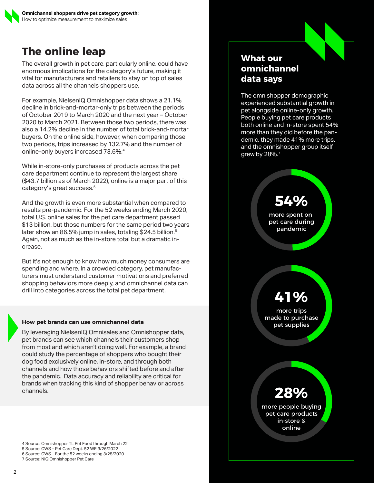

## **The online leap What our**

The overall growth in pet care, particularly online, could have enormous implications for the category's future, making it vital for manufacturers and retailers to stay on top of sales data across all the channels shoppers use.

For example, NielsenIQ Omnishopper data shows a 21.1% decline in brick-and-mortar-only trips between the periods of October 2019 to March 2020 and the next year – October 2020 to March 2021. Between those two periods, there was also a 14.2% decline in the number of total brick-and-mortar buyers. On the online side, however, when comparing those two periods, trips increased by 132.7% and the number of online-only buyers increased 73.6%.4

While in-store-only purchases of products across the pet care department continue to represent the largest share (\$43.7 billion as of March 2022), online is a major part of this category's great success.<sup>5</sup>

And the growth is even more substantial when compared to results pre-pandemic. For the 52 weeks ending March 2020, total U.S. online sales for the pet care department passed \$13 billion, but those numbers for the same period two years later show an 86.5% jump in sales, totaling \$24.5 billion.<sup>6</sup> Again, not as much as the in-store total but a dramatic increase.

But it's not enough to know how much money consumers are spending and where. In a crowded category, pet manufacturers must understand customer motivations and preferred shopping behaviors more deeply, and omnichannel data can drill into categories across the total pet department.

#### **How pet brands can use omnichannel data**

By leveraging NielsenIQ Omnisales and Omnishopper data, pet brands can see which channels their customers shop from most and which aren't doing well. For example, a brand could study the percentage of shoppers who bought their dog food exclusively online, in-store, and through both channels and how those behaviors shifted before and after the pandemic. Data accuracy and reliability are critical for brands when tracking this kind of shopper behavior across channels.

#### 4 Source: Omnishopper TL Pet Food through March 22

5 Source: CWS – Pet Care Dept. 52 WE 3/26/2022

6 Source: CWS – For the 52 weeks ending 3/28/2020

7 Source: NIQ Omnishopper Pet Care

### **omnichannel data says**

The omnishopper demographic experienced substantial growth in pet alongside online-only growth. People buying pet care products both online and in-store spent 54% more than they did before the pandemic, they made 41% more trips, and the omnishopper group itself grew by 28%.7

### **54%**

more spent on pet care during pandemic

## **41%**

more trips made to purchase pet supplies

## **28%**

more people buying pet care products in-store & online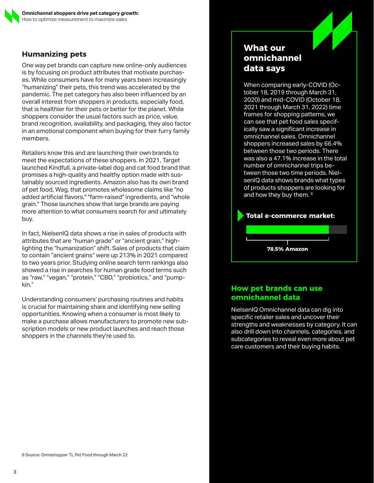

### **Humanizing pets**

One way pet brands can capture new online-only audiences is by focusing on product attributes that motivate purchases. While consumers have for many years been increasingly "humanizing" their pets, this trend was accelerated by the pandemic. The pet category has also been influenced by an overall interest from shoppers in products, especially food, that is healthier for their pets or better for the planet. While shoppers consider the usual factors such as price, value, brand recognition, availability, and packaging, they also factor in an emotional component when buying for their furry family members.

Retailers know this and are launching their own brands to meet the expectations of these shoppers. In 2021, Target launched Kindfull, a private-label dog and cat food brand that promises a high-quality and healthy option made with sustainably sourced ingredients. Amazon also has its own brand of pet food, Wag, that promotes wholesome claims like "no added artificial flavors," "farm-raised" ingredients, and "whole grain." Those launches show that large brands are paying more attention to what consumers search for and ultimately buy.

In fact, NielsenIQ data shows a rise in sales of products with attributes that are "human grade" or "ancient grain," highlighting the "humanization" shift. Sales of products that claim to contain "ancient grains" were up 213% in 2021 compared to two years prior. Studying online search term rankings also showed a rise in searches for human grade food terms such as "raw," "vegan," "protein," "CBD," "probiotics," and "pumpkin."

Understanding consumers' purchasing routines and habits is crucial for maintaining share and identifying new selling opportunities. Knowing when a consumer is most likely to make a purchase allows manufacturers to promote new subscription models or new product launches and reach those shoppers in the channels they're used to.

### **What our omnichannel data says**

When comparing early-COVID (October 18, 2019 through March 31, 2020) and mid-COVID (October 18, 2021 through March 31, 2022) time frames for shopping patterns, we can see that pet food sales specifically saw a significant increase in omnichannel sales. Omnichannel shoppers increased sales by 66.4% between those two periods. There was also a 47.1% increase in the total number of omnichannel trips between those two time periods. NielsenIQ data shows brands what types of products shoppers are looking for and how they buy them. <sup>8</sup>

#### **Total e-commerce market:**



### **How pet brands can use omnichannel data**

NielsenIQ Omnichannel data can dig into specific retailer sales and uncover their strengths and weaknesses by category. It can also drill down into channels, categories, and subcategories to reveal even more about pet care customers and their buying habits.